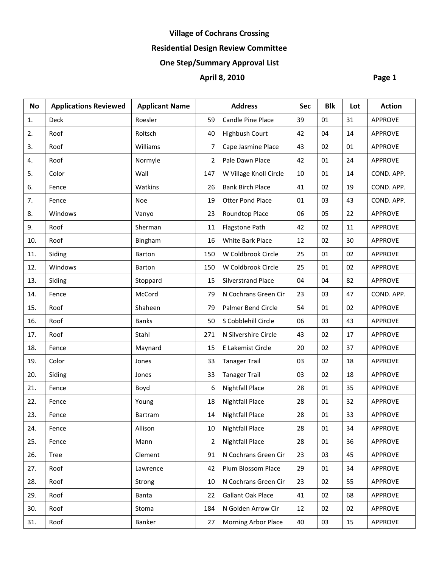# **Village of Cochrans Crossing**

# **Residential Design Review Committee**

# **One Step/Summary Approval List**

# **April 8, 2010 Page 1**

| <b>No</b> | <b>Applications Reviewed</b> | <b>Applicant Name</b> |     | <b>Address</b>            | <b>Sec</b> | <b>Blk</b> | Lot | <b>Action</b>  |
|-----------|------------------------------|-----------------------|-----|---------------------------|------------|------------|-----|----------------|
| 1.        | Deck                         | Roesler               | 59  | Candle Pine Place         | 39         | 01         | 31  | <b>APPROVE</b> |
| 2.        | Roof                         | Roltsch               | 40  | <b>Highbush Court</b>     | 42         | 04         | 14  | <b>APPROVE</b> |
| 3.        | Roof                         | Williams              | 7   | Cape Jasmine Place        | 43         | 02         | 01  | <b>APPROVE</b> |
| 4.        | Roof                         | Normyle               | 2   | Pale Dawn Place           | 42         | 01         | 24  | <b>APPROVE</b> |
| 5.        | Color                        | Wall                  | 147 | W Village Knoll Circle    | 10         | 01         | 14  | COND. APP.     |
| 6.        | Fence                        | Watkins               | 26  | <b>Bank Birch Place</b>   | 41         | 02         | 19  | COND. APP.     |
| 7.        | Fence                        | Noe                   | 19  | <b>Otter Pond Place</b>   | 01         | 03         | 43  | COND. APP.     |
| 8.        | Windows                      | Vanyo                 | 23  | Roundtop Place            | 06         | 05         | 22  | <b>APPROVE</b> |
| 9.        | Roof                         | Sherman               | 11  | Flagstone Path            | 42         | 02         | 11  | <b>APPROVE</b> |
| 10.       | Roof                         | Bingham               | 16  | White Bark Place          | 12         | 02         | 30  | <b>APPROVE</b> |
| 11.       | Siding                       | Barton                | 150 | W Coldbrook Circle        | 25         | 01         | 02  | <b>APPROVE</b> |
| 12.       | Windows                      | Barton                | 150 | W Coldbrook Circle        | 25         | 01         | 02  | <b>APPROVE</b> |
| 13.       | Siding                       | Stoppard              | 15  | <b>Silverstrand Place</b> | 04         | 04         | 82  | <b>APPROVE</b> |
| 14.       | Fence                        | McCord                | 79  | N Cochrans Green Cir      | 23         | 03         | 47  | COND. APP.     |
| 15.       | Roof                         | Shaheen               | 79  | Palmer Bend Circle        | 54         | 01         | 02  | <b>APPROVE</b> |
| 16.       | Roof                         | <b>Banks</b>          | 50  | S Cobblehill Circle       | 06         | 03         | 43  | <b>APPROVE</b> |
| 17.       | Roof                         | Stahl                 | 271 | N Silvershire Circle      | 43         | 02         | 17  | <b>APPROVE</b> |
| 18.       | Fence                        | Maynard               | 15  | E Lakemist Circle         | 20         | 02         | 37  | <b>APPROVE</b> |
| 19.       | Color                        | Jones                 | 33  | <b>Tanager Trail</b>      | 03         | 02         | 18  | <b>APPROVE</b> |
| 20.       | Siding                       | Jones                 | 33  | <b>Tanager Trail</b>      | 03         | 02         | 18  | <b>APPROVE</b> |
| 21.       | Fence                        | Boyd                  | 6   | <b>Nightfall Place</b>    | 28         | 01         | 35  | <b>APPROVE</b> |
| 22.       | Fence                        | Young                 | 18  | <b>Nightfall Place</b>    | 28         | 01         | 32  | <b>APPROVE</b> |
| 23.       | Fence                        | Bartram               | 14  | <b>Nightfall Place</b>    | 28         | 01         | 33  | <b>APPROVE</b> |
| 24.       | Fence                        | Allison               | 10  | <b>Nightfall Place</b>    | 28         | 01         | 34  | <b>APPROVE</b> |
| 25.       | Fence                        | Mann                  | 2   | <b>Nightfall Place</b>    | 28         | 01         | 36  | <b>APPROVE</b> |
| 26.       | <b>Tree</b>                  | Clement               | 91  | N Cochrans Green Cir      | 23         | 03         | 45  | <b>APPROVE</b> |
| 27.       | Roof                         | Lawrence              | 42  | Plum Blossom Place        | 29         | 01         | 34  | <b>APPROVE</b> |
| 28.       | Roof                         | Strong                | 10  | N Cochrans Green Cir      | 23         | 02         | 55  | <b>APPROVE</b> |
| 29.       | Roof                         | Banta                 | 22  | Gallant Oak Place         | 41         | 02         | 68  | <b>APPROVE</b> |
| 30.       | Roof                         | Stoma                 | 184 | N Golden Arrow Cir        | 12         | 02         | 02  | <b>APPROVE</b> |
| 31.       | Roof                         | Banker                | 27  | Morning Arbor Place       | 40         | 03         | 15  | <b>APPROVE</b> |